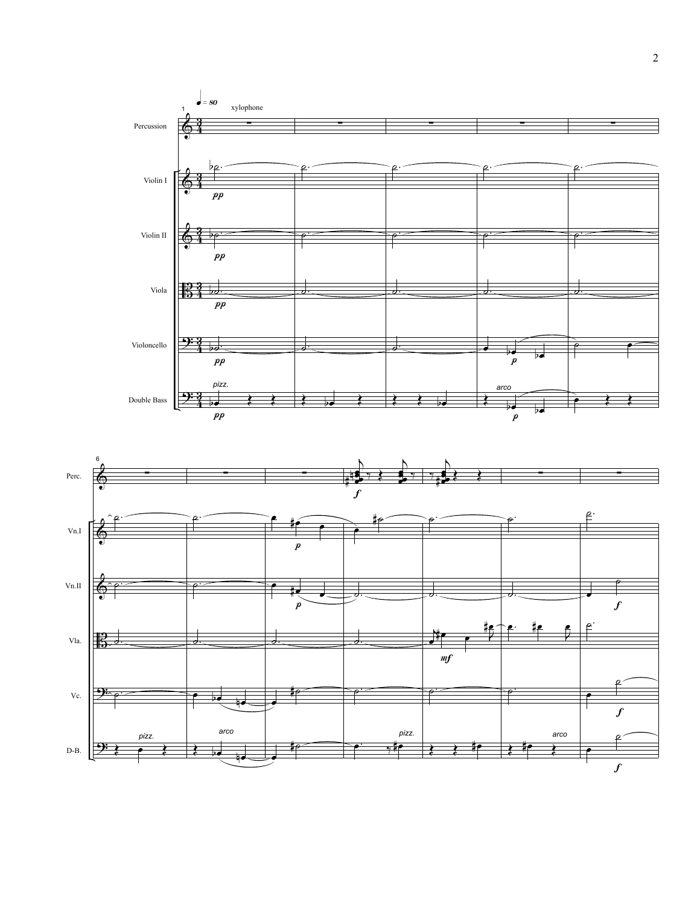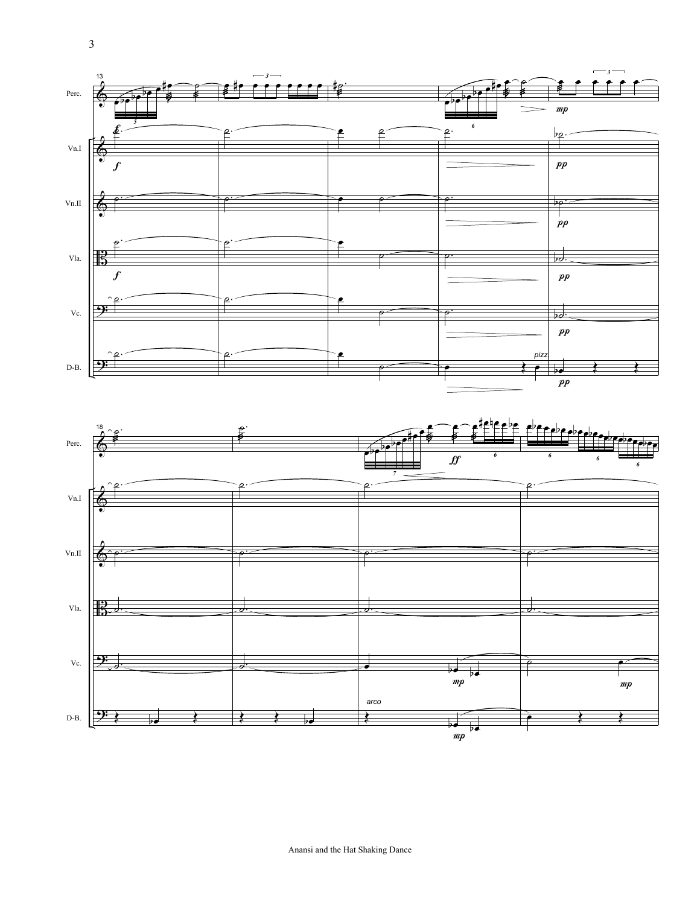

Œ *arco*  $mp$ চৰ

 $\mathfrak{m}p$ 

 $\bullet$   $\qquad$   $\qquad$   $\qquad$   $\qquad$   $\qquad$   $\qquad$   $\qquad$   $\qquad$   $\qquad$   $\qquad$   $\qquad$   $\qquad$   $\qquad$   $\qquad$   $\qquad$   $\qquad$   $\qquad$   $\qquad$   $\qquad$   $\qquad$   $\qquad$   $\qquad$   $\qquad$   $\qquad$   $\qquad$   $\qquad$   $\qquad$   $\qquad$   $\qquad$   $\qquad$   $\qquad$   $\qquad$   $\qquad$   $\qquad$   $\qquad$   $\qquad$ 

bœ mp bœ

 $\leftarrow$ 

3

 $\mathbf{P}$ 

 $\leftrightarrow$ 

D-B.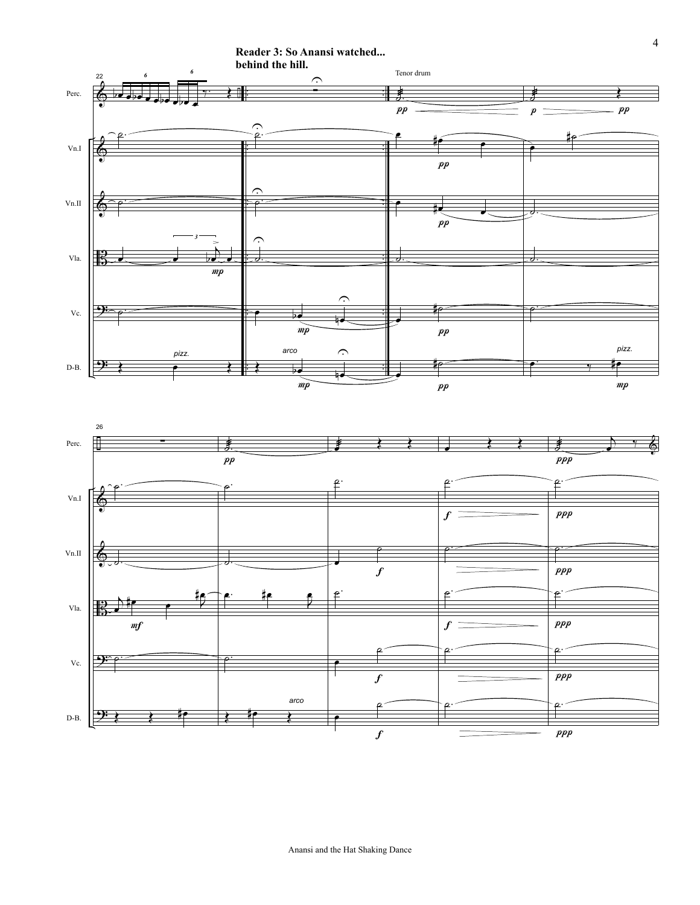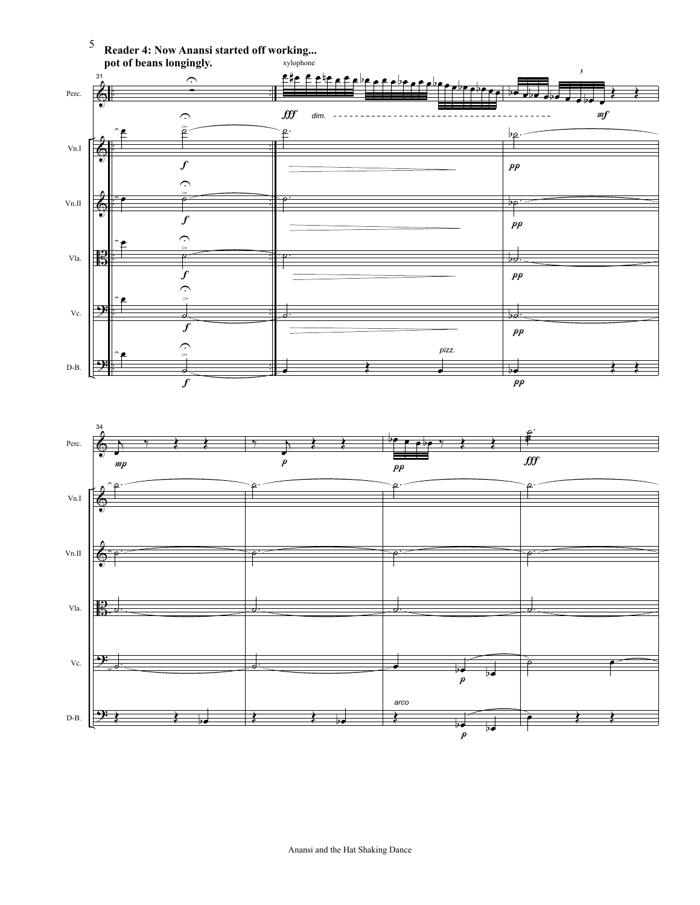

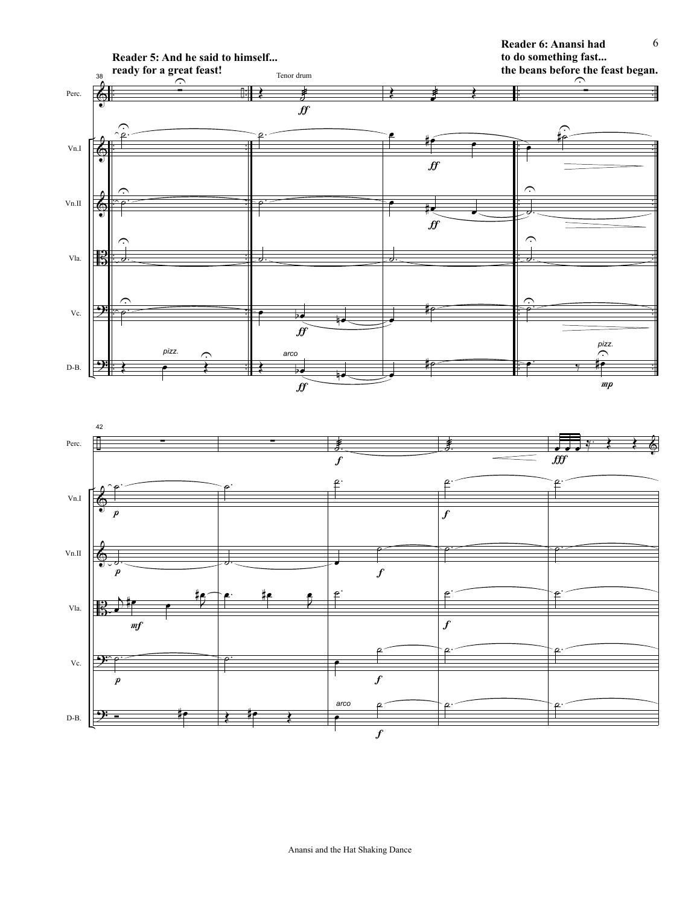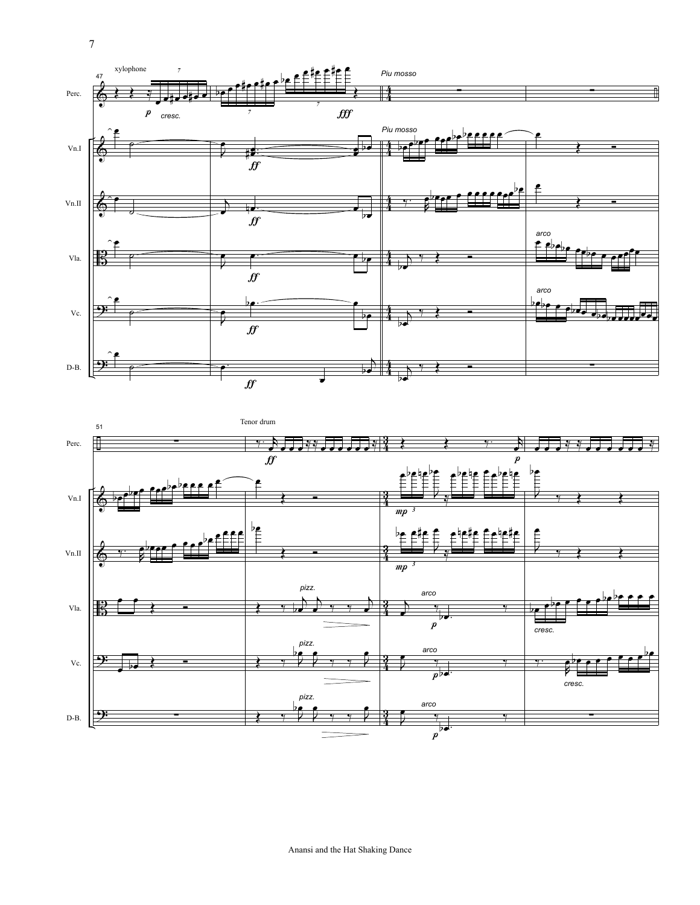



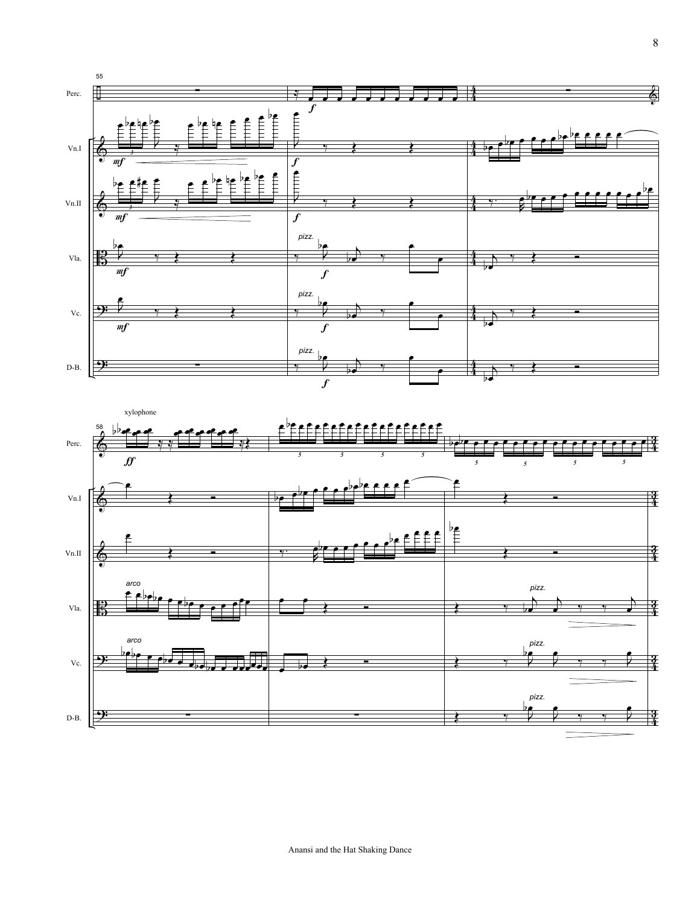

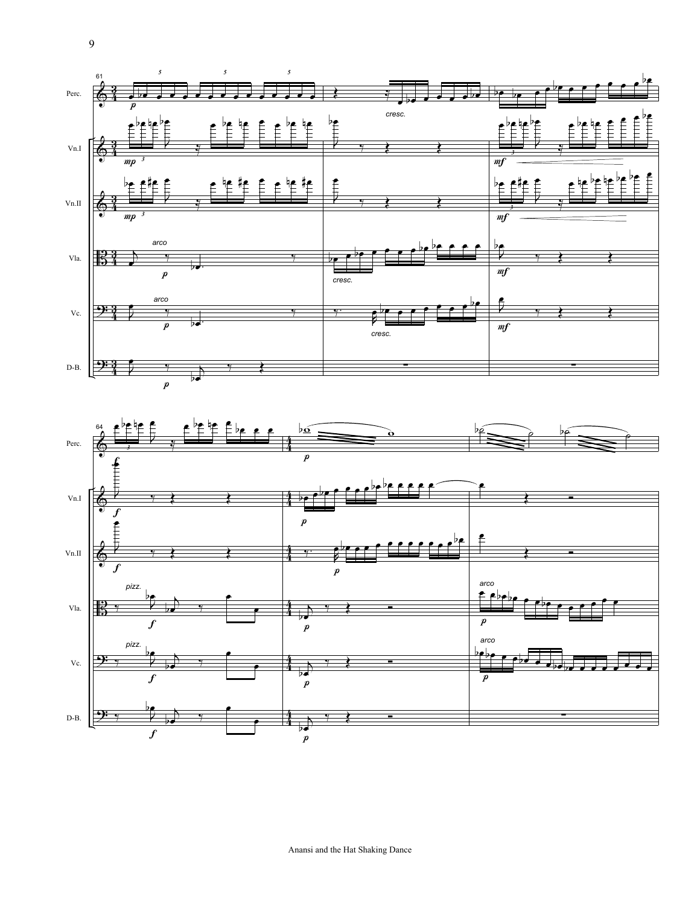

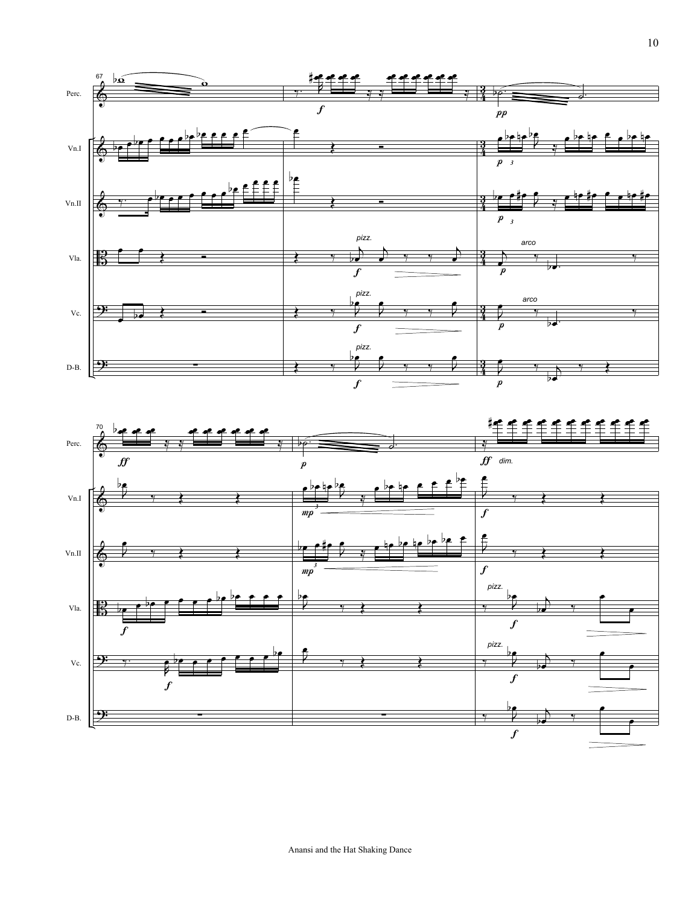

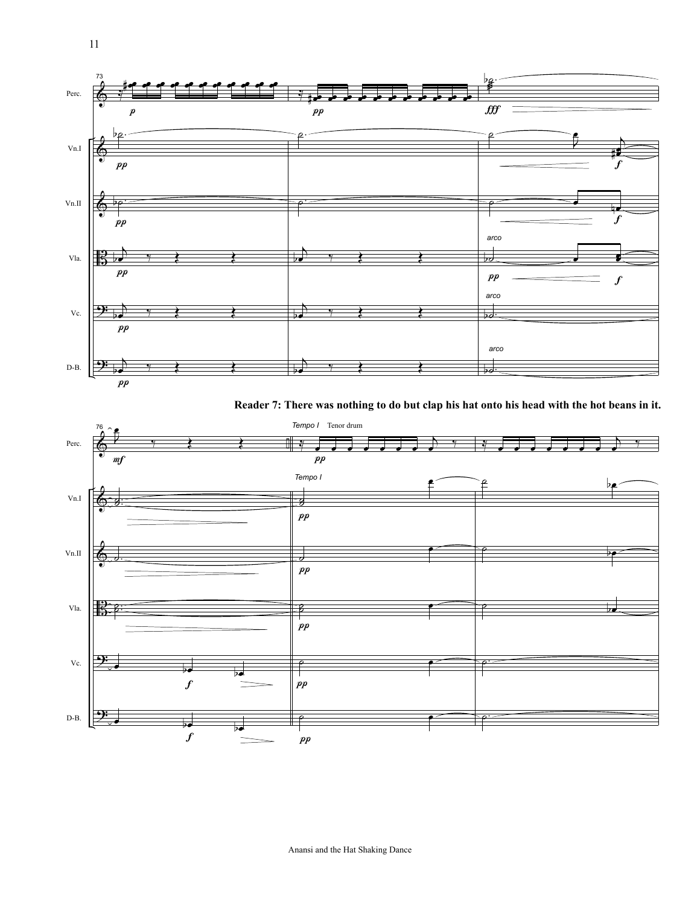

Reader 7: There was nothing to do but clap his hat onto his head with the hot beans in it.

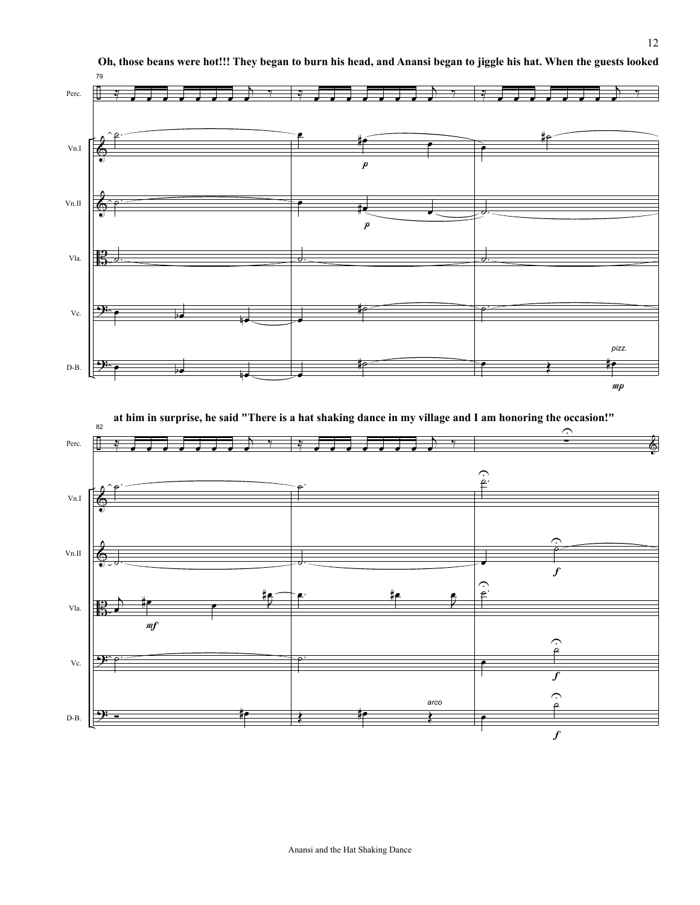

Oh, those beans were hot!!! They began to burn his head, and Anansi began to jiggle his hat. When the guests looked

at him in surprise, he said "There is a hat shaking dance in my village and I am honoring the occasion!"

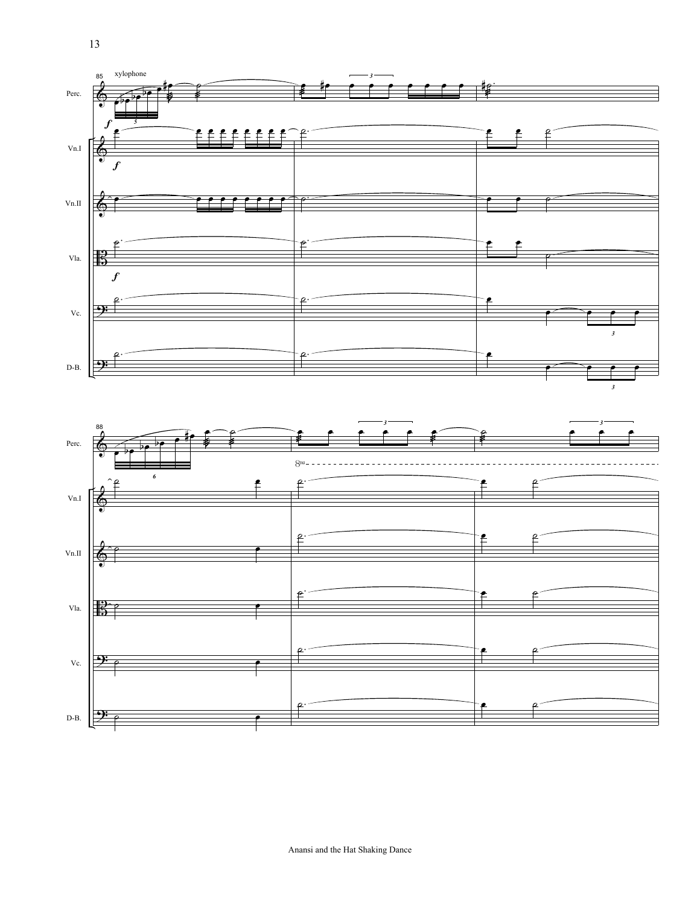

13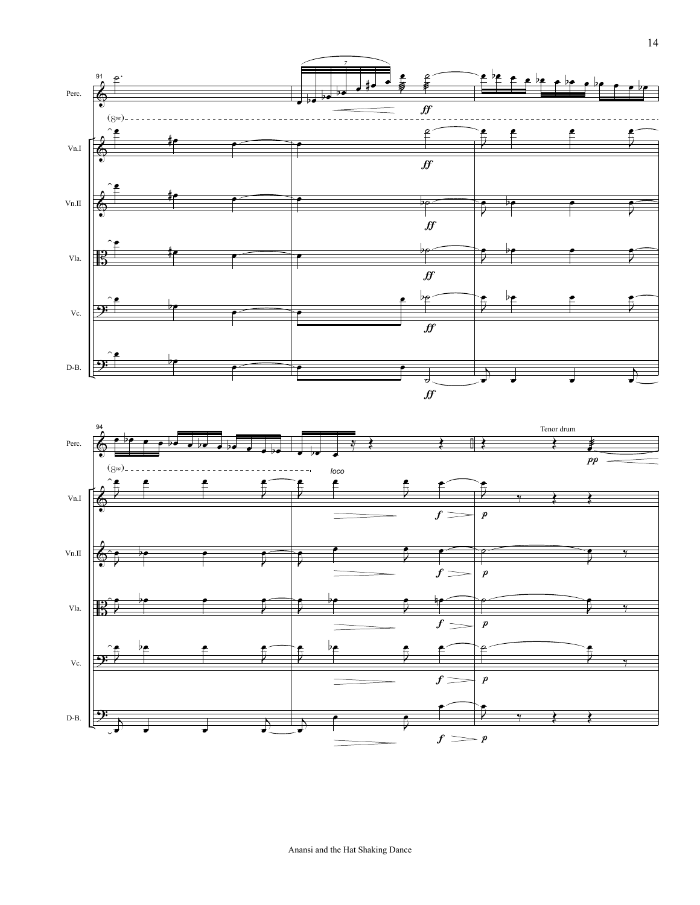

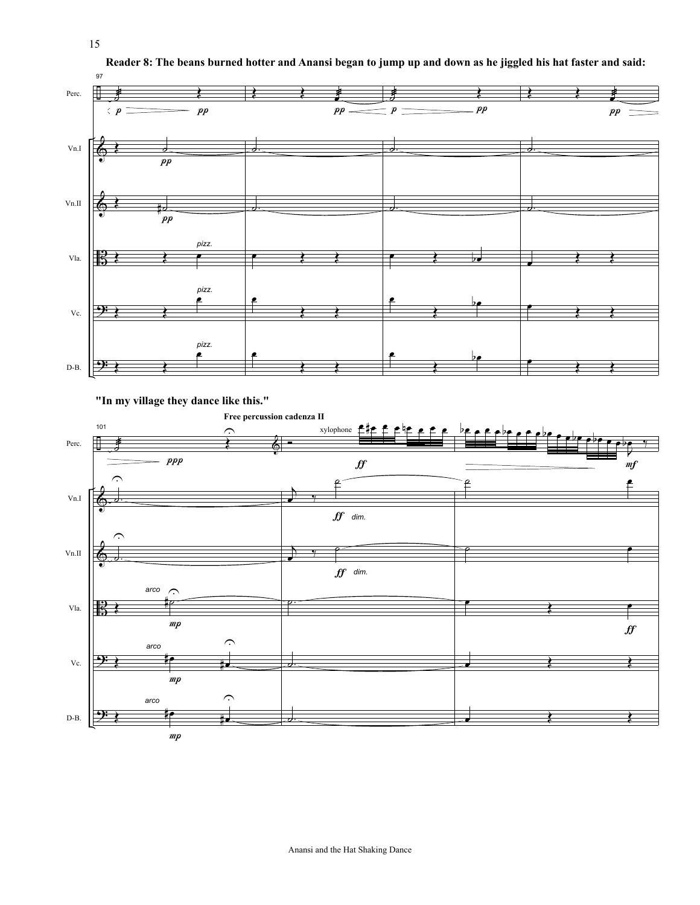

Reader 8: The beans burned hotter and Anansi began to jump up and down as he jiggled his hat faster and said:

"In my village they dance like this."

15

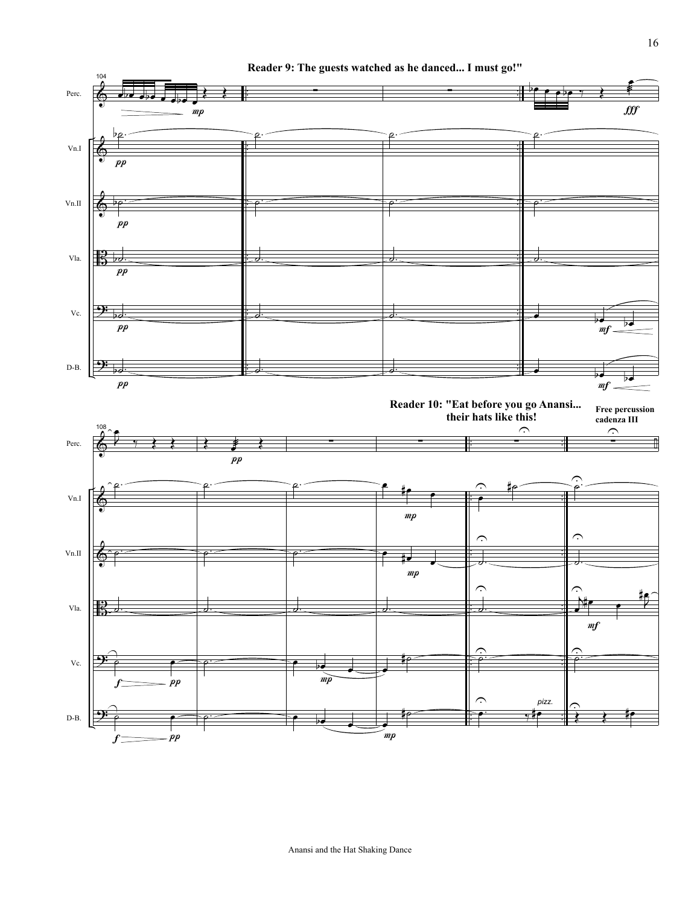

Reader 9: The guests watched as he danced... I must go!"